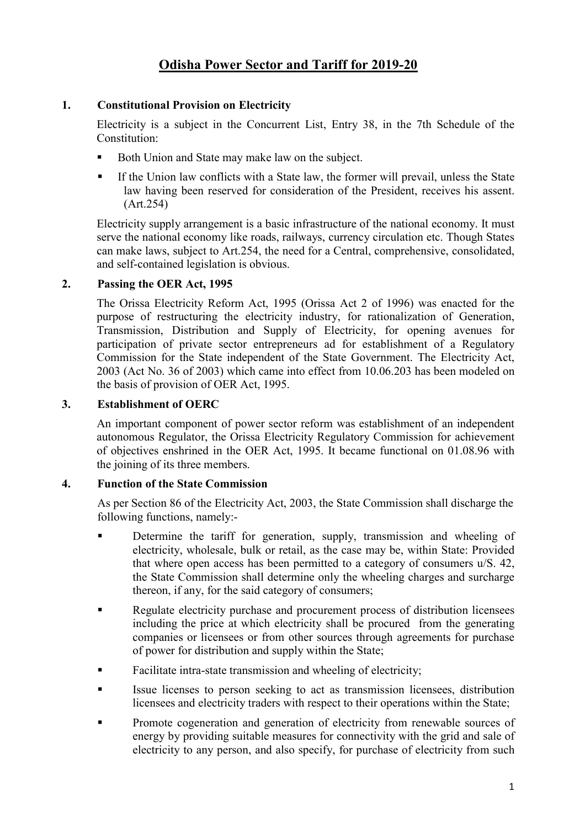# **1. Constitutional Provision on Electricity**

Electricity is a subject in the Concurrent List, Entry 38, in the 7th Schedule of the Constitution:

- Both Union and State may make law on the subject.
- If the Union law conflicts with a State law, the former will prevail, unless the State law having been reserved for consideration of the President, receives his assent. (Art.254)

Electricity supply arrangement is a basic infrastructure of the national economy. It must serve the national economy like roads, railways, currency circulation etc. Though States can make laws, subject to Art.254, the need for a Central, comprehensive, consolidated, and self-contained legislation is obvious.

# **2. Passing the OER Act, 1995**

The Orissa Electricity Reform Act, 1995 (Orissa Act 2 of 1996) was enacted for the purpose of restructuring the electricity industry, for rationalization of Generation, Transmission, Distribution and Supply of Electricity, for opening avenues for participation of private sector entrepreneurs ad for establishment of a Regulatory Commission for the State independent of the State Government. The Electricity Act, 2003 (Act No. 36 of 2003) which came into effect from 10.06.203 has been modeled on the basis of provision of OER Act, 1995.

# **3. Establishment of OERC**

An important component of power sector reform was establishment of an independent autonomous Regulator, the Orissa Electricity Regulatory Commission for achievement of objectives enshrined in the OER Act, 1995. It became functional on 01.08.96 with the joining of its three members.

# **4. Function of the State Commission**

As per Section 86 of the Electricity Act, 2003, the State Commission shall discharge the following functions, namely:-

- Determine the tariff for generation, supply, transmission and wheeling of electricity, wholesale, bulk or retail, as the case may be, within State: Provided that where open access has been permitted to a category of consumers u/S. 42, the State Commission shall determine only the wheeling charges and surcharge thereon, if any, for the said category of consumers;
- Regulate electricity purchase and procurement process of distribution licensees including the price at which electricity shall be procured from the generating companies or licensees or from other sources through agreements for purchase of power for distribution and supply within the State;
- Facilitate intra-state transmission and wheeling of electricity;
- Issue licenses to person seeking to act as transmission licensees, distribution licensees and electricity traders with respect to their operations within the State;
- **Promote cogeneration and generation of electricity from renewable sources of** energy by providing suitable measures for connectivity with the grid and sale of electricity to any person, and also specify, for purchase of electricity from such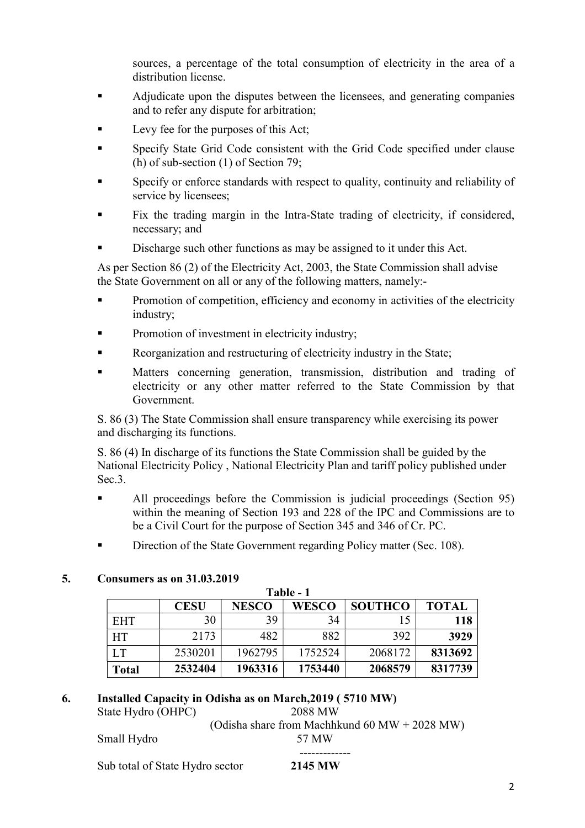sources, a percentage of the total consumption of electricity in the area of a distribution license.

- Adjudicate upon the disputes between the licensees, and generating companies and to refer any dispute for arbitration;
- Levy fee for the purposes of this Act;
- Specify State Grid Code consistent with the Grid Code specified under clause (h) of sub-section (1) of Section 79;
- Specify or enforce standards with respect to quality, continuity and reliability of service by licensees;
- Fix the trading margin in the Intra-State trading of electricity, if considered, necessary; and
- Discharge such other functions as may be assigned to it under this Act.

As per Section 86 (2) of the Electricity Act, 2003, the State Commission shall advise the State Government on all or any of the following matters, namely:-

- Promotion of competition, efficiency and economy in activities of the electricity industry;
- Promotion of investment in electricity industry;
- Reorganization and restructuring of electricity industry in the State;
- Matters concerning generation, transmission, distribution and trading of electricity or any other matter referred to the State Commission by that Government.

S. 86 (3) The State Commission shall ensure transparency while exercising its power and discharging its functions.

S. 86 (4) In discharge of its functions the State Commission shall be guided by the National Electricity Policy , National Electricity Plan and tariff policy published under Sec.<sub>3</sub>.

- All proceedings before the Commission is judicial proceedings (Section 95) within the meaning of Section 193 and 228 of the IPC and Commissions are to be a Civil Court for the purpose of Section 345 and 346 of Cr. PC.
- Direction of the State Government regarding Policy matter (Sec. 108).

## **5. Consumers as on 31.03.2019**

| Table - 1    |             |              |              |                |              |  |  |  |  |  |
|--------------|-------------|--------------|--------------|----------------|--------------|--|--|--|--|--|
|              | <b>CESU</b> | <b>NESCO</b> | <b>WESCO</b> | <b>SOUTHCO</b> | <b>TOTAL</b> |  |  |  |  |  |
| <b>EHT</b>   | 30          | 39           | 34           |                | 118          |  |  |  |  |  |
| <b>HT</b>    | 2173        | 482          | 882          | 392            | 3929         |  |  |  |  |  |
| LT           | 2530201     | 1962795      | 1752524      | 2068172        | 8313692      |  |  |  |  |  |
| <b>Total</b> | 2532404     | 1963316      | 1753440      | 2068579        | 8317739      |  |  |  |  |  |

## **6. Installed Capacity in Odisha as on March,2019 ( 5710 MW)**

State Hydro (OHPC) 2088 MW (Odisha share from Machhkund 60 MW + 2028 MW)

Small Hydro 57 MW

 ------------- Sub total of State Hydro sector **2145 MW**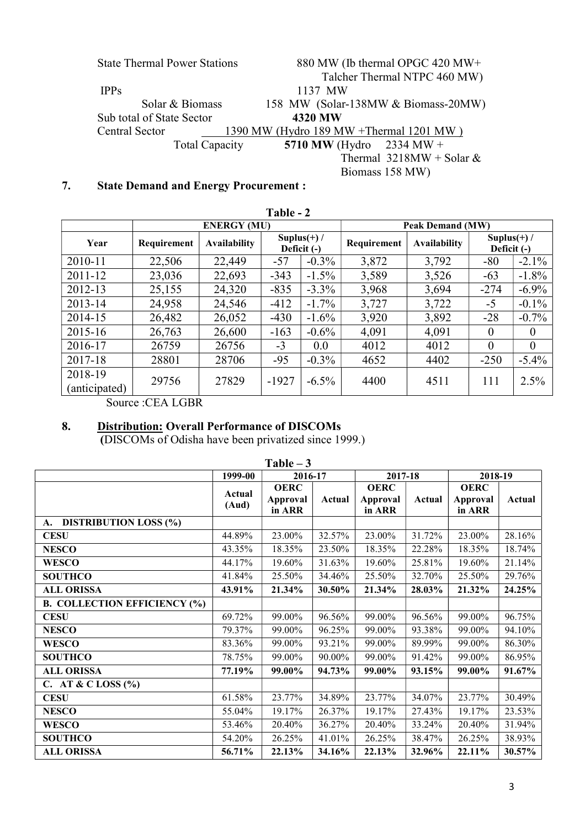| <b>State Thermal Power Stations</b> | 880 MW (Ib thermal OPGC 420 MW+          |
|-------------------------------------|------------------------------------------|
|                                     | Talcher Thermal NTPC 460 MW)             |
| <b>IPPs</b>                         | 1137 MW                                  |
| Solar & Biomass                     | 158 MW (Solar-138MW & Biomass-20MW)      |
| Sub total of State Sector           | 4320 MW                                  |
| Central Sector                      | 1390 MW (Hydro 189 MW + Thermal 1201 MW) |
| <b>Total Capacity</b>               | 5710 MW (Hydro 2334 MW +                 |
|                                     | Thermal $3218MW + Solar &$               |
|                                     | Biomass 158 MW)                          |

# **7. State Demand and Energy Procurement :**

| Table - 2                |             |                     |                               |          |             |                         |                               |                |  |
|--------------------------|-------------|---------------------|-------------------------------|----------|-------------|-------------------------|-------------------------------|----------------|--|
|                          |             | <b>ENERGY (MU)</b>  |                               |          |             | <b>Peak Demand (MW)</b> |                               |                |  |
| Year                     | Requirement | <b>Availability</b> | Suplus $(+)$ /<br>Deficit (-) |          | Requirement | <b>Availability</b>     | Suplus $(+)$ /<br>Deficit (-) |                |  |
| 2010-11                  | 22,506      | 22,449              | $-57$                         | $-0.3\%$ | 3,872       | 3,792                   | $-80$                         | $-2.1\%$       |  |
| 2011-12                  | 23,036      | 22,693              | $-343$                        | $-1.5\%$ | 3,589       | 3,526                   | $-63$                         | $-1.8%$        |  |
| 2012-13                  | 25,155      | 24,320              | $-835$                        | $-3.3\%$ | 3,968       | 3,694                   | $-274$                        | $-6.9\%$       |  |
| 2013-14                  | 24,958      | 24,546              | $-412$                        | $-1.7\%$ | 3,727       | 3,722                   | $-5$                          | $-0.1\%$       |  |
| 2014-15                  | 26,482      | 26,052              | $-430$                        | $-1.6\%$ | 3,920       | 3,892                   | $-28$                         | $-0.7%$        |  |
| 2015-16                  | 26,763      | 26,600              | $-163$                        | $-0.6\%$ | 4,091       | 4,091                   | 0                             | $\theta$       |  |
| 2016-17                  | 26759       | 26756               | $-3$                          | 0.0      | 4012        | 4012                    | $\theta$                      | $\overline{0}$ |  |
| 2017-18                  | 28801       | 28706               | $-95$                         | $-0.3\%$ | 4652        | 4402                    | $-250$                        | $-5.4\%$       |  |
| 2018-19<br>(anticipated) | 29756       | 27829               | $-1927$                       | $-6.5\%$ | 4400        | 4511                    | 111                           | 2.5%           |  |

Source :CEA LGBR

# **8. Distribution: Overall Performance of DISCOMs**

 **(**DISCOMs of Odisha have been privatized since 1999.)

| $Table - 3$                         |                 |                                          |        |                                   |        |                                   |        |  |  |
|-------------------------------------|-----------------|------------------------------------------|--------|-----------------------------------|--------|-----------------------------------|--------|--|--|
|                                     | 1999-00         | 2016-17                                  |        | 2017-18                           |        | 2018-19                           |        |  |  |
|                                     | Actual<br>(Aud) | <b>OERC</b><br><b>Approval</b><br>in ARR | Actual | <b>OERC</b><br>Approval<br>in ARR | Actual | <b>OERC</b><br>Approval<br>in ARR | Actual |  |  |
| A. DISTRIBUTION LOSS (%)            |                 |                                          |        |                                   |        |                                   |        |  |  |
| <b>CESU</b>                         | 44.89%          | 23.00%                                   | 32.57% | 23.00%                            | 31.72% | 23.00%                            | 28.16% |  |  |
| <b>NESCO</b>                        | 43.35%          | 18.35%                                   | 23.50% | 18.35%                            | 22.28% | 18.35%                            | 18.74% |  |  |
| <b>WESCO</b>                        | 44.17%          | 19.60%                                   | 31.63% | 19.60%                            | 25.81% | 19.60%                            | 21.14% |  |  |
| <b>SOUTHCO</b>                      | 41.84%          | 25.50%                                   | 34.46% | 25.50%                            | 32.70% | 25.50%                            | 29.76% |  |  |
| <b>ALL ORISSA</b>                   | 43.91%          | 21.34%                                   | 30.50% | 21.34%                            | 28.03% | 21.32%                            | 24.25% |  |  |
| <b>B. COLLECTION EFFICIENCY (%)</b> |                 |                                          |        |                                   |        |                                   |        |  |  |
| <b>CESU</b>                         | 69.72%          | 99.00%                                   | 96.56% | 99.00%                            | 96.56% | 99.00%                            | 96.75% |  |  |
| <b>NESCO</b>                        | 79.37%          | 99.00%                                   | 96.25% | 99.00%                            | 93.38% | 99.00%                            | 94.10% |  |  |
| <b>WESCO</b>                        | 83.36%          | 99.00%                                   | 93.21% | 99.00%                            | 89.99% | 99.00%                            | 86.30% |  |  |
| <b>SOUTHCO</b>                      | 78.75%          | 99.00%                                   | 90.00% | 99.00%                            | 91.42% | 99.00%                            | 86.95% |  |  |
| <b>ALL ORISSA</b>                   | 77.19%          | 99.00%                                   | 94.73% | 99.00%                            | 93.15% | 99.00%                            | 91.67% |  |  |
| C. AT & C LOSS $(\% )$              |                 |                                          |        |                                   |        |                                   |        |  |  |
| <b>CESU</b>                         | 61.58%          | 23.77%                                   | 34.89% | 23.77%                            | 34.07% | 23.77%                            | 30.49% |  |  |
| <b>NESCO</b>                        | 55.04%          | 19.17%                                   | 26.37% | 19.17%                            | 27.43% | 19.17%                            | 23.53% |  |  |
| <b>WESCO</b>                        | 53.46%          | 20.40%                                   | 36.27% | 20.40%                            | 33.24% | 20.40%                            | 31.94% |  |  |
| <b>SOUTHCO</b>                      | 54.20%          | 26.25%                                   | 41.01% | 26.25%                            | 38.47% | 26.25%                            | 38.93% |  |  |
| <b>ALL ORISSA</b>                   | 56.71%          | 22.13%                                   | 34.16% | 22.13%                            | 32.96% | 22.11%                            | 30.57% |  |  |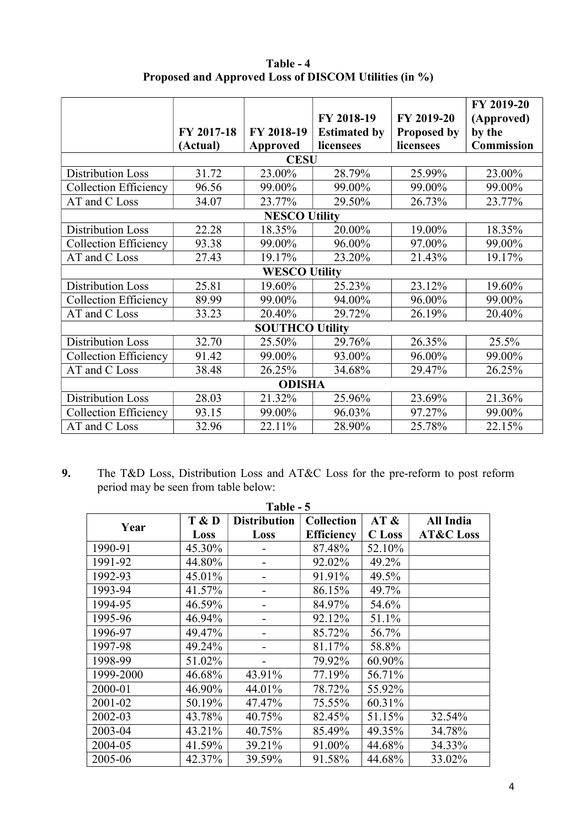|                              | FY 2017-18<br>(Actual) | FY 2018-19<br>Approved | FY 2018-19<br><b>Estimated by</b><br>licensees | FY 2019-20<br><b>Proposed by</b><br>licensees | FY 2019-20<br>(Approved)<br>by the<br>Commission |  |  |  |
|------------------------------|------------------------|------------------------|------------------------------------------------|-----------------------------------------------|--------------------------------------------------|--|--|--|
|                              |                        | <b>CESU</b>            |                                                |                                               |                                                  |  |  |  |
| <b>Distribution Loss</b>     | 31.72                  | 23.00%                 | 28.79%                                         | 25.99%                                        | 23.00%                                           |  |  |  |
| <b>Collection Efficiency</b> | 96.56                  | 99.00%                 | 99.00%                                         | 99.00%                                        | 99.00%                                           |  |  |  |
| AT and C Loss                | 34.07                  | 23.77%                 | 29.50%                                         | 26.73%                                        | 23.77%                                           |  |  |  |
|                              |                        | <b>NESCO Utility</b>   |                                                |                                               |                                                  |  |  |  |
| <b>Distribution Loss</b>     | 22.28                  | 18.35%                 | 20.00%                                         | 19.00%                                        | 18.35%                                           |  |  |  |
| <b>Collection Efficiency</b> | 93.38                  | 99.00%                 | 96.00%                                         | 97.00%                                        | 99.00%                                           |  |  |  |
| AT and C Loss                | 27.43                  | 19.17%                 | 23.20%                                         | 21.43%                                        | 19.17%                                           |  |  |  |
|                              |                        | <b>WESCO Utility</b>   |                                                |                                               |                                                  |  |  |  |
| <b>Distribution Loss</b>     | 25.81                  | 19.60%                 | 25.23%                                         | 23.12%                                        | 19.60%                                           |  |  |  |
| <b>Collection Efficiency</b> | 89.99                  | 99.00%                 | 94.00%                                         | 96.00%                                        | 99.00%                                           |  |  |  |
| AT and C Loss                | 33.23                  | 20.40%                 | 29.72%                                         | 26.19%                                        | 20.40%                                           |  |  |  |
|                              |                        | <b>SOUTHCO Utility</b> |                                                |                                               |                                                  |  |  |  |
| <b>Distribution Loss</b>     | 32.70                  | 25.50%                 | 29.76%                                         | 26.35%                                        | 25.5%                                            |  |  |  |
| <b>Collection Efficiency</b> | 91.42                  | 99.00%                 | 93.00%                                         | 96.00%                                        | 99.00%                                           |  |  |  |
| AT and C Loss                | 38.48                  | 26.25%                 | 34.68%                                         | 29.47%                                        | 26.25%                                           |  |  |  |
| <b>ODISHA</b>                |                        |                        |                                                |                                               |                                                  |  |  |  |
| <b>Distribution Loss</b>     | 28.03                  | 21.32%                 | 25.96%                                         | 23.69%                                        | 21.36%                                           |  |  |  |
| <b>Collection Efficiency</b> | 93.15                  | 99.00%                 | 96.03%                                         | 97.27%                                        | 99.00%                                           |  |  |  |
| AT and C Loss                | 32.96                  | 22.11%                 | 28.90%                                         | 25.78%                                        | 22.15%                                           |  |  |  |

**Table - 4 Proposed and Approved Loss of DISCOM Utilities (in %)** 

**9.** The T&D Loss, Distribution Loss and AT&C Loss for the pre-reform to post reform period may be seen from table below:

| Table - 5 |        |                     |                   |               |                      |  |  |  |  |
|-----------|--------|---------------------|-------------------|---------------|----------------------|--|--|--|--|
| Year      | T & D  | <b>Distribution</b> | <b>Collection</b> | AT &          | All India            |  |  |  |  |
|           | Loss   | Loss                | <b>Efficiency</b> | <b>C</b> Loss | <b>AT&amp;C</b> Loss |  |  |  |  |
| 1990-91   | 45.30% |                     | 87.48%            | 52.10%        |                      |  |  |  |  |
| 1991-92   | 44.80% |                     | 92.02%            | 49.2%         |                      |  |  |  |  |
| 1992-93   | 45.01% |                     | 91.91%            | 49.5%         |                      |  |  |  |  |
| 1993-94   | 41.57% |                     | 86.15%            | 49.7%         |                      |  |  |  |  |
| 1994-95   | 46.59% |                     | 84.97%            | 54.6%         |                      |  |  |  |  |
| 1995-96   | 46.94% |                     | 92.12%            | 51.1%         |                      |  |  |  |  |
| 1996-97   | 49.47% |                     | 85.72%            | 56.7%         |                      |  |  |  |  |
| 1997-98   | 49.24% |                     | 81.17%            | 58.8%         |                      |  |  |  |  |
| 1998-99   | 51.02% |                     | 79.92%            | 60.90%        |                      |  |  |  |  |
| 1999-2000 | 46.68% | 43.91%              | 77.19%            | 56.71%        |                      |  |  |  |  |
| 2000-01   | 46.90% | 44.01%              | 78.72%            | 55.92%        |                      |  |  |  |  |
| 2001-02   | 50.19% | 47.47%              | 75.55%            | 60.31%        |                      |  |  |  |  |
| 2002-03   | 43.78% | 40.75%              | 82.45%            | 51.15%        | 32.54%               |  |  |  |  |
| 2003-04   | 43.21% | 40.75%              | 85.49%            | 49.35%        | 34.78%               |  |  |  |  |
| 2004-05   | 41.59% | 39.21%              | 91.00%            | 44.68%        | 34.33%               |  |  |  |  |
| 2005-06   | 42.37% | 39.59%              | 91.58%            | 44.68%        | 33.02%               |  |  |  |  |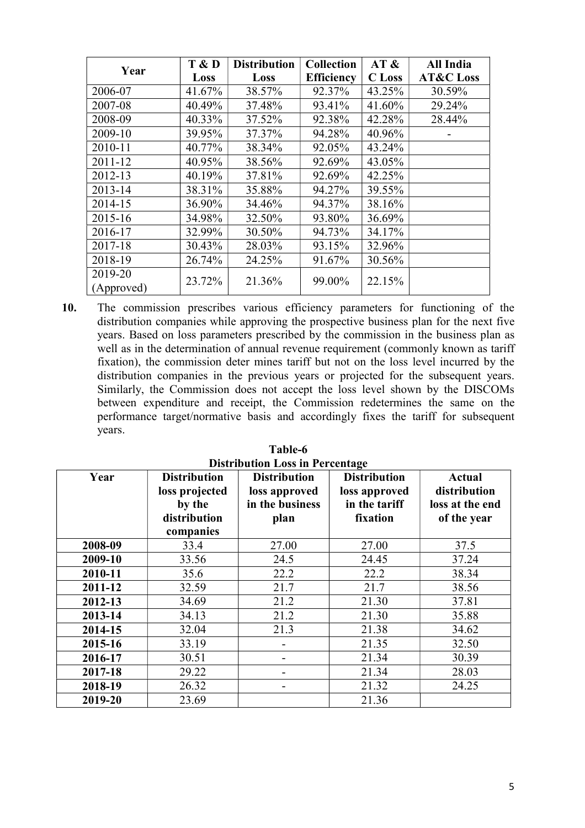| Year                  | T & D  | <b>Distribution</b> | <b>Collection</b> | AT &          | All India            |
|-----------------------|--------|---------------------|-------------------|---------------|----------------------|
|                       | Loss   | Loss                | <b>Efficiency</b> | <b>C</b> Loss | <b>AT&amp;C</b> Loss |
| 2006-07               | 41.67% | 38.57%              | 92.37%            | 43.25%        | 30.59%               |
| 2007-08               | 40.49% | 37.48%              | 93.41%            | 41.60%        | 29.24%               |
| 2008-09               | 40.33% | 37.52%              | 92.38%            | 42.28%        | 28.44%               |
| 2009-10               | 39.95% | 37.37%              | 94.28%            | 40.96%        |                      |
| 2010-11               | 40.77% | 38.34%              | 92.05%            | 43.24%        |                      |
| 2011-12               | 40.95% | 38.56%              | 92.69%            | 43.05%        |                      |
| 2012-13               | 40.19% | 37.81%              | 92.69%            | 42.25%        |                      |
| 2013-14               | 38.31% | 35.88%              | 94.27%            | 39.55%        |                      |
| 2014-15               | 36.90% | 34.46%              | 94.37%            | 38.16%        |                      |
| 2015-16               | 34.98% | 32.50%              | 93.80%            | 36.69%        |                      |
| 2016-17               | 32.99% | 30.50%              | 94.73%            | 34.17%        |                      |
| 2017-18               | 30.43% | 28.03%              | 93.15%            | 32.96%        |                      |
| 2018-19               | 26.74% | 24.25%              | 91.67%            | 30.56%        |                      |
| 2019-20<br>(Approved) | 23.72% | 21.36%              | 99.00%            | 22.15%        |                      |

**10.** The commission prescribes various efficiency parameters for functioning of the distribution companies while approving the prospective business plan for the next five years. Based on loss parameters prescribed by the commission in the business plan as well as in the determination of annual revenue requirement (commonly known as tariff fixation), the commission deter mines tariff but not on the loss level incurred by the distribution companies in the previous years or projected for the subsequent years. Similarly, the Commission does not accept the loss level shown by the DISCOMs between expenditure and receipt, the Commission redetermines the same on the performance target/normative basis and accordingly fixes the tariff for subsequent years.

| Year    | <b>Distribution</b><br>loss projected<br>by the<br>distribution | Distribution Loss in Tercentage<br><b>Distribution</b><br>loss approved<br>in the business<br>plan | <b>Distribution</b><br>loss approved<br>in the tariff<br>fixation | <b>Actual</b><br>distribution<br>loss at the end<br>of the year |
|---------|-----------------------------------------------------------------|----------------------------------------------------------------------------------------------------|-------------------------------------------------------------------|-----------------------------------------------------------------|
|         | companies                                                       |                                                                                                    |                                                                   |                                                                 |
| 2008-09 | 33.4                                                            | 27.00                                                                                              | 27.00                                                             | 37.5                                                            |
| 2009-10 | 33.56                                                           | 24.5                                                                                               | 24.45                                                             | 37.24                                                           |
| 2010-11 | 35.6                                                            | 22.2                                                                                               | 22.2                                                              | 38.34                                                           |
| 2011-12 | 32.59                                                           | 21.7                                                                                               | 21.7                                                              | 38.56                                                           |
| 2012-13 | 34.69                                                           | 21.2                                                                                               | 21.30                                                             | 37.81                                                           |
| 2013-14 | 34.13                                                           | 21.2                                                                                               | 21.30                                                             | 35.88                                                           |
| 2014-15 | 32.04                                                           | 21.3                                                                                               | 21.38                                                             | 34.62                                                           |
| 2015-16 | 33.19                                                           |                                                                                                    | 21.35                                                             | 32.50                                                           |
| 2016-17 | 30.51                                                           |                                                                                                    | 21.34                                                             | 30.39                                                           |
| 2017-18 | 29.22                                                           |                                                                                                    | 21.34                                                             | 28.03                                                           |
| 2018-19 | 26.32                                                           | -                                                                                                  | 21.32                                                             | 24.25                                                           |
| 2019-20 | 23.69                                                           |                                                                                                    | 21.36                                                             |                                                                 |

**Table-6 Distribution Loss in Percentage**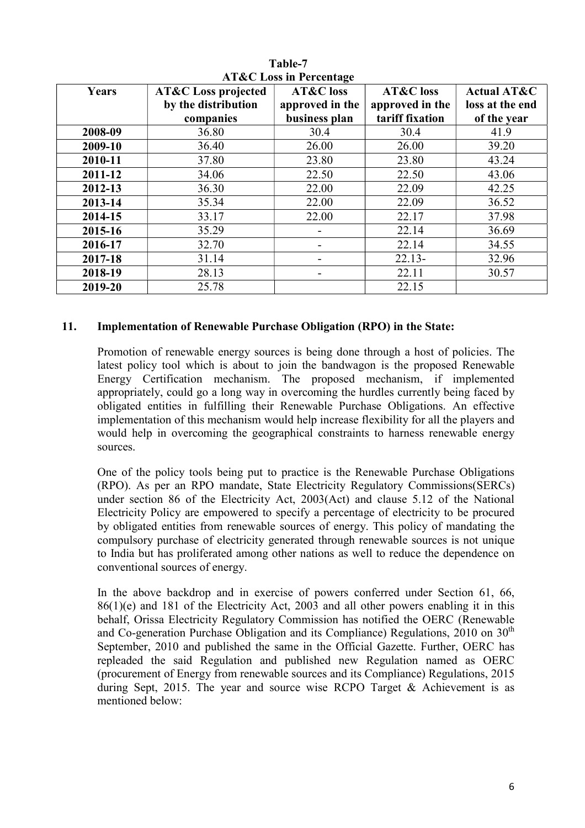| Years   | <b>AT&amp;C</b> Loss projected | AT&C LOSS III I Creditage<br>AT&C loss | <b>AT&amp;C</b> loss | <b>Actual AT&amp;C</b> |
|---------|--------------------------------|----------------------------------------|----------------------|------------------------|
|         | by the distribution            | approved in the                        | approved in the      | loss at the end        |
|         | companies                      | business plan                          | tariff fixation      | of the year            |
| 2008-09 | 36.80                          | 30.4                                   | 30.4                 | 41.9                   |
| 2009-10 | 36.40                          | 26.00                                  | 26.00                | 39.20                  |
| 2010-11 | 37.80                          | 23.80                                  | 23.80                | 43.24                  |
| 2011-12 | 34.06                          | 22.50                                  | 22.50                | 43.06                  |
| 2012-13 | 36.30                          | 22.00                                  | 22.09                | 42.25                  |
| 2013-14 | 35.34                          | 22.00                                  | 22.09                | 36.52                  |
| 2014-15 | 33.17                          | 22.00                                  | 22.17                | 37.98                  |
| 2015-16 | 35.29                          |                                        | 22.14                | 36.69                  |
| 2016-17 | 32.70                          |                                        | 22.14                | 34.55                  |
| 2017-18 | 31.14                          |                                        | $22.13-$             | 32.96                  |
| 2018-19 | 28.13                          |                                        | 22.11                | 30.57                  |
| 2019-20 | 25.78                          |                                        | 22.15                |                        |

**Table-7 AT&C Loss in Percentage** 

#### **11. Implementation of Renewable Purchase Obligation (RPO) in the State:**

Promotion of renewable energy sources is being done through a host of policies. The latest policy tool which is about to join the bandwagon is the proposed Renewable Energy Certification mechanism. The proposed mechanism, if implemented appropriately, could go a long way in overcoming the hurdles currently being faced by obligated entities in fulfilling their Renewable Purchase Obligations. An effective implementation of this mechanism would help increase flexibility for all the players and would help in overcoming the geographical constraints to harness renewable energy sources.

One of the policy tools being put to practice is the Renewable Purchase Obligations (RPO). As per an RPO mandate, State Electricity Regulatory Commissions(SERCs) under section 86 of the Electricity Act, 2003(Act) and clause 5.12 of the National Electricity Policy are empowered to specify a percentage of electricity to be procured by obligated entities from renewable sources of energy. This policy of mandating the compulsory purchase of electricity generated through renewable sources is not unique to India but has proliferated among other nations as well to reduce the dependence on conventional sources of energy.

In the above backdrop and in exercise of powers conferred under Section 61, 66, 86(1)(e) and 181 of the Electricity Act, 2003 and all other powers enabling it in this behalf, Orissa Electricity Regulatory Commission has notified the OERC (Renewable and Co-generation Purchase Obligation and its Compliance) Regulations,  $2010$  on  $30<sup>th</sup>$ September, 2010 and published the same in the Official Gazette. Further, OERC has repleaded the said Regulation and published new Regulation named as OERC (procurement of Energy from renewable sources and its Compliance) Regulations, 2015 during Sept, 2015. The year and source wise RCPO Target  $\&$  Achievement is as mentioned below: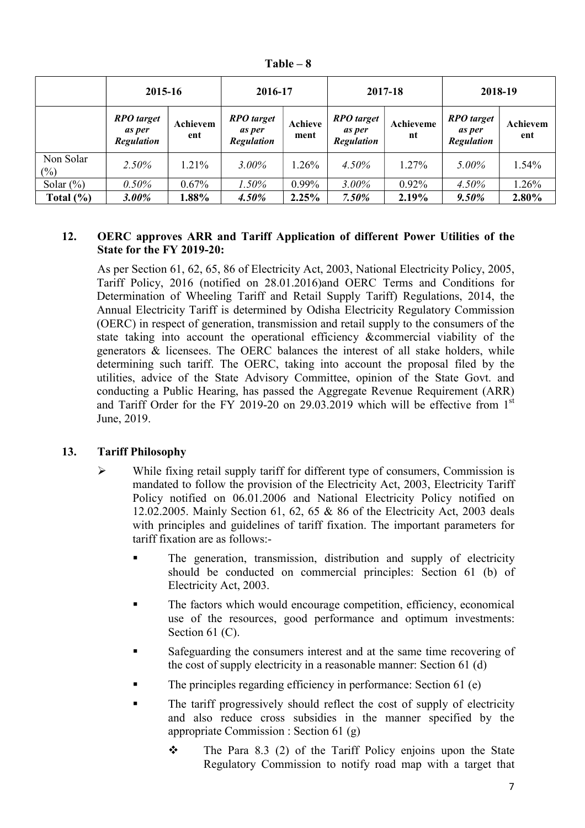| 'able |  |
|-------|--|
|-------|--|

|                     | 2015-16                                                 |                 | 2016-17                                                 |                 | 2017-18                                                 |                 | 2018-19                                                 |                 |
|---------------------|---------------------------------------------------------|-----------------|---------------------------------------------------------|-----------------|---------------------------------------------------------|-----------------|---------------------------------------------------------|-----------------|
|                     | <b>RPO</b> target<br><i>as per</i><br><b>Regulation</b> | Achievem<br>ent | <b>RPO</b> target<br><i>as per</i><br><b>Regulation</b> | Achieve<br>ment | <b>RPO</b> target<br><i>as per</i><br><b>Regulation</b> | Achieveme<br>nt | <b>RPO</b> target<br><i>as per</i><br><b>Regulation</b> | Achievem<br>ent |
| Non Solar<br>$(\%)$ | 2.50%                                                   | 1.21%           | $3.00\%$                                                | $1.26\%$        | $4.50\%$                                                | 1.27%           | 5.00%                                                   | 1.54%           |
| Solar $(\% )$       | 0.50%                                                   | 0.67%           | $1.50\%$                                                | 0.99%           | $3.00\%$                                                | 0.92%           | $4.50\%$                                                | 1.26%           |
| Total $(\% )$       | $3.00\%$                                                | 1.88%           | $4.50\%$                                                | 2.25%           | $7.50\%$                                                | 2.19%           | $9.50\%$                                                | 2.80%           |

## **12. OERC approves ARR and Tariff Application of different Power Utilities of the State for the FY 2019-20:**

As per Section 61, 62, 65, 86 of Electricity Act, 2003, National Electricity Policy, 2005, Tariff Policy, 2016 (notified on 28.01.2016)and OERC Terms and Conditions for Determination of Wheeling Tariff and Retail Supply Tariff) Regulations, 2014, the Annual Electricity Tariff is determined by Odisha Electricity Regulatory Commission (OERC) in respect of generation, transmission and retail supply to the consumers of the state taking into account the operational efficiency &commercial viability of the generators & licensees. The OERC balances the interest of all stake holders, while determining such tariff. The OERC, taking into account the proposal filed by the utilities, advice of the State Advisory Committee, opinion of the State Govt. and conducting a Public Hearing, has passed the Aggregate Revenue Requirement (ARR) and Tariff Order for the FY 2019-20 on 29.03.2019 which will be effective from  $1<sup>st</sup>$ June, 2019.

# **13. Tariff Philosophy**

- $\triangleright$  While fixing retail supply tariff for different type of consumers, Commission is mandated to follow the provision of the Electricity Act, 2003, Electricity Tariff Policy notified on 06.01.2006 and National Electricity Policy notified on 12.02.2005. Mainly Section 61, 62, 65 & 86 of the Electricity Act, 2003 deals with principles and guidelines of tariff fixation. The important parameters for tariff fixation are as follows:-
	- The generation, transmission, distribution and supply of electricity should be conducted on commercial principles: Section 61 (b) of Electricity Act, 2003.
	- The factors which would encourage competition, efficiency, economical use of the resources, good performance and optimum investments: Section 61 (C).
	- Safeguarding the consumers interest and at the same time recovering of the cost of supply electricity in a reasonable manner: Section 61 (d)
	- The principles regarding efficiency in performance: Section 61 (e)
	- The tariff progressively should reflect the cost of supply of electricity and also reduce cross subsidies in the manner specified by the appropriate Commission : Section 61 (g)
		- $\div$  The Para 8.3 (2) of the Tariff Policy enjoins upon the State Regulatory Commission to notify road map with a target that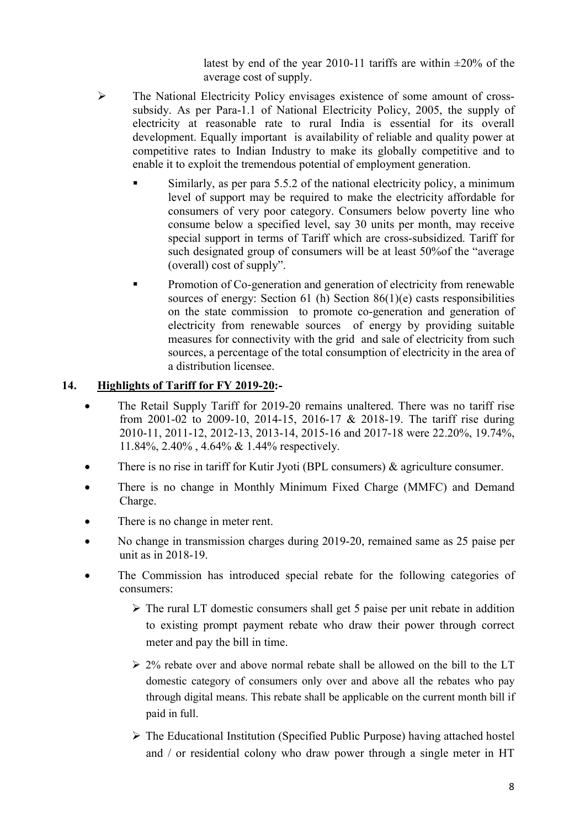latest by end of the year 2010-11 tariffs are within  $\pm 20\%$  of the average cost of supply.

- The National Electricity Policy envisages existence of some amount of crosssubsidy. As per Para-1.1 of National Electricity Policy, 2005, the supply of electricity at reasonable rate to rural India is essential for its overall development. Equally important is availability of reliable and quality power at competitive rates to Indian Industry to make its globally competitive and to enable it to exploit the tremendous potential of employment generation.
	- Similarly, as per para 5.5.2 of the national electricity policy, a minimum level of support may be required to make the electricity affordable for consumers of very poor category. Consumers below poverty line who consume below a specified level, say 30 units per month, may receive special support in terms of Tariff which are cross-subsidized. Tariff for such designated group of consumers will be at least 50%of the "average (overall) cost of supply".
	- **Promotion of Co-generation and generation of electricity from renewable** sources of energy: Section 61 (h) Section  $86(1)(e)$  casts responsibilities on the state commission to promote co-generation and generation of electricity from renewable sources of energy by providing suitable measures for connectivity with the grid and sale of electricity from such sources, a percentage of the total consumption of electricity in the area of a distribution licensee.

## **14. Highlights of Tariff for FY 2019-20:-**

- The Retail Supply Tariff for 2019-20 remains unaltered. There was no tariff rise from 2001-02 to 2009-10, 2014-15, 2016-17 & 2018-19. The tariff rise during 2010-11, 2011-12, 2012-13, 2013-14, 2015-16 and 2017-18 were 22.20%, 19.74%, 11.84%, 2.40% , 4.64% & 1.44% respectively.
- There is no rise in tariff for Kutir Jyoti (BPL consumers) & agriculture consumer.
- There is no change in Monthly Minimum Fixed Charge (MMFC) and Demand Charge.
- There is no change in meter rent.
- No change in transmission charges during 2019-20, remained same as 25 paise per unit as in 2018-19.
- The Commission has introduced special rebate for the following categories of consumers:
	- $\triangleright$  The rural LT domestic consumers shall get 5 paise per unit rebate in addition to existing prompt payment rebate who draw their power through correct meter and pay the bill in time.
	- $\geq$  2% rebate over and above normal rebate shall be allowed on the bill to the LT domestic category of consumers only over and above all the rebates who pay through digital means. This rebate shall be applicable on the current month bill if paid in full.
	- $\triangleright$  The Educational Institution (Specified Public Purpose) having attached hostel and / or residential colony who draw power through a single meter in HT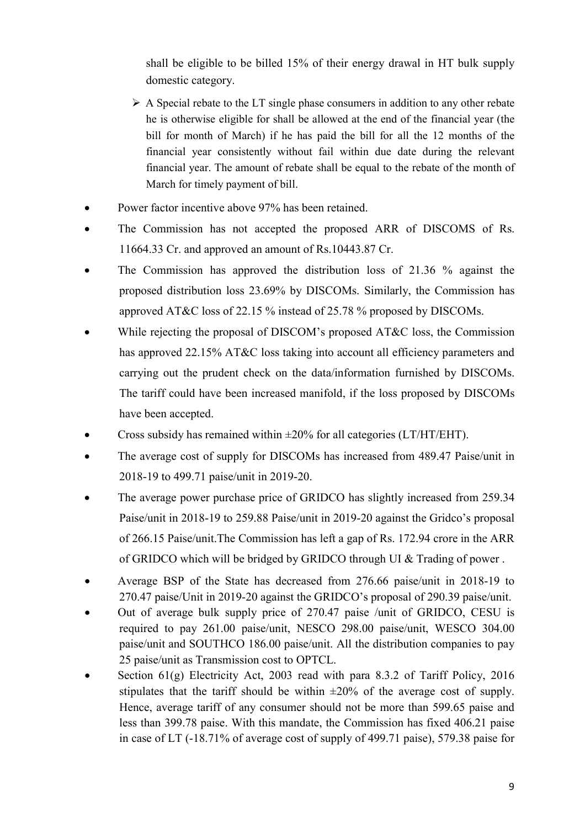shall be eligible to be billed 15% of their energy drawal in HT bulk supply domestic category.

- $\triangleright$  A Special rebate to the LT single phase consumers in addition to any other rebate he is otherwise eligible for shall be allowed at the end of the financial year (the bill for month of March) if he has paid the bill for all the 12 months of the financial year consistently without fail within due date during the relevant financial year. The amount of rebate shall be equal to the rebate of the month of March for timely payment of bill.
- Power factor incentive above 97% has been retained.
- The Commission has not accepted the proposed ARR of DISCOMS of Rs. 11664.33 Cr. and approved an amount of Rs.10443.87 Cr.
- The Commission has approved the distribution loss of 21.36 % against the proposed distribution loss 23.69% by DISCOMs. Similarly, the Commission has approved AT&C loss of 22.15 % instead of 25.78 % proposed by DISCOMs.
- While rejecting the proposal of DISCOM's proposed AT&C loss, the Commission has approved 22.15% AT&C loss taking into account all efficiency parameters and carrying out the prudent check on the data/information furnished by DISCOMs. The tariff could have been increased manifold, if the loss proposed by DISCOMs have been accepted.
- Cross subsidy has remained within  $\pm 20\%$  for all categories (LT/HT/EHT).
- The average cost of supply for DISCOMs has increased from 489.47 Paise/unit in 2018-19 to 499.71 paise/unit in 2019-20.
- The average power purchase price of GRIDCO has slightly increased from 259.34 Paise/unit in 2018-19 to 259.88 Paise/unit in 2019-20 against the Gridco's proposal of 266.15 Paise/unit.The Commission has left a gap of Rs. 172.94 crore in the ARR of GRIDCO which will be bridged by GRIDCO through UI & Trading of power .
- Average BSP of the State has decreased from 276.66 paise/unit in 2018-19 to 270.47 paise/Unit in 2019-20 against the GRIDCO's proposal of 290.39 paise/unit.
- Out of average bulk supply price of 270.47 paise /unit of GRIDCO, CESU is required to pay 261.00 paise/unit, NESCO 298.00 paise/unit, WESCO 304.00 paise/unit and SOUTHCO 186.00 paise/unit. All the distribution companies to pay 25 paise/unit as Transmission cost to OPTCL.
- Section 61(g) Electricity Act, 2003 read with para 8.3.2 of Tariff Policy, 2016 stipulates that the tariff should be within  $\pm 20\%$  of the average cost of supply. Hence, average tariff of any consumer should not be more than 599.65 paise and less than 399.78 paise. With this mandate, the Commission has fixed 406.21 paise in case of LT (-18.71% of average cost of supply of 499.71 paise), 579.38 paise for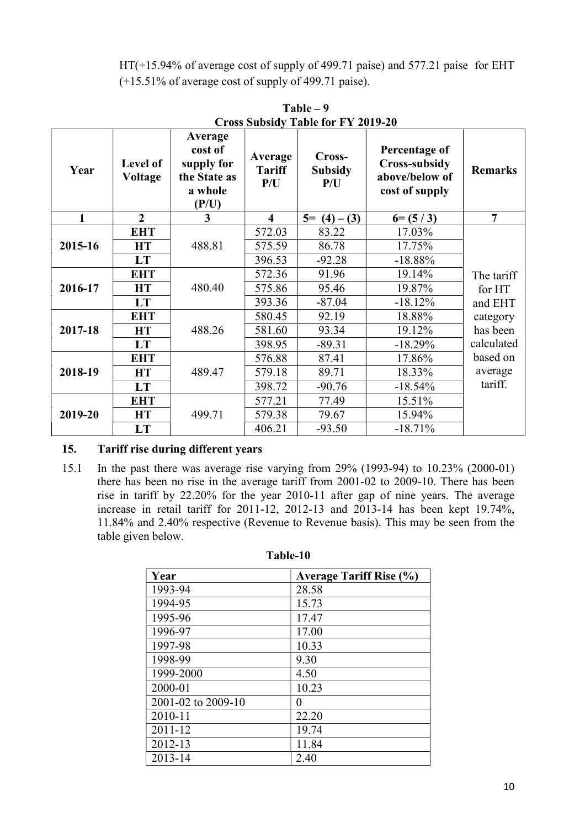HT(+15.94% of average cost of supply of 499.71 paise) and 577.21 paise for EHT (+15.51% of average cost of supply of 499.71 paise).

| Year    | Level of<br><b>Voltage</b> | Average<br>cost of<br>supply for<br>the State as<br>a whole<br>(P/U) | Average<br><b>Tariff</b><br>P/U | Cross-<br><b>Subsidy</b><br>P/U | Percentage of<br><b>Cross-subsidy</b><br>above/below of<br>cost of supply | <b>Remarks</b> |
|---------|----------------------------|----------------------------------------------------------------------|---------------------------------|---------------------------------|---------------------------------------------------------------------------|----------------|
| 1       | $\boldsymbol{2}$           | 3                                                                    | $\overline{\mathbf{4}}$         | $5= (4) - (3)$                  | $6= (5/3)$                                                                | $\overline{7}$ |
|         | <b>EHT</b>                 |                                                                      | 572.03                          | 83.22                           | 17.03%                                                                    |                |
| 2015-16 | <b>HT</b>                  | 488.81                                                               | 575.59                          | 86.78                           | 17.75%                                                                    |                |
|         | <b>LT</b>                  |                                                                      | 396.53                          | $-92.28$                        | $-18.88%$                                                                 |                |
|         | <b>EHT</b>                 |                                                                      | 572.36                          | 91.96                           | 19.14%                                                                    | The tariff     |
| 2016-17 | <b>HT</b>                  | 480.40                                                               | 575.86                          | 95.46                           | 19.87%                                                                    | for HT         |
|         | <b>LT</b>                  |                                                                      | 393.36                          | $-87.04$                        | $-18.12%$                                                                 | and EHT        |
|         | <b>EHT</b>                 |                                                                      | 580.45                          | 92.19                           | 18.88%                                                                    | category       |
| 2017-18 | <b>HT</b>                  | 488.26                                                               | 581.60                          | 93.34                           | 19.12%                                                                    | has been       |
|         | <b>LT</b>                  |                                                                      | 398.95                          | $-89.31$                        | $-18.29%$                                                                 | calculated     |
|         | <b>EHT</b>                 |                                                                      | 576.88                          | 87.41                           | 17.86%                                                                    | based on       |
| 2018-19 | <b>HT</b>                  | 489.47                                                               | 579.18                          | 89.71                           | 18.33%                                                                    | average        |
|         | <b>LT</b>                  |                                                                      | 398.72                          | $-90.76$                        | $-18.54%$                                                                 | tariff.        |
|         | <b>EHT</b>                 |                                                                      | 577.21                          | 77.49                           | 15.51%                                                                    |                |
| 2019-20 | <b>HT</b>                  | 499.71                                                               | 579.38                          | 79.67                           | 15.94%                                                                    |                |
|         | LT                         |                                                                      | 406.21                          | $-93.50$                        | $-18.71%$                                                                 |                |

**Table – 9 Cross Subsidy Table for FY 2019-20** 

## **15. Tariff rise during different years**

15.1 In the past there was average rise varying from 29% (1993-94) to 10.23% (2000-01) there has been no rise in the average tariff from 2001-02 to 2009-10. There has been rise in tariff by 22.20% for the year 2010-11 after gap of nine years. The average increase in retail tariff for 2011-12, 2012-13 and 2013-14 has been kept 19.74%, 11.84% and 2.40% respective (Revenue to Revenue basis). This may be seen from the table given below.

| Year               | <b>Average Tariff Rise (%)</b> |
|--------------------|--------------------------------|
| 1993-94            | 28.58                          |
| 1994-95            | 15.73                          |
| 1995-96            | 17.47                          |
| 1996-97            | 17.00                          |
| 1997-98            | 10.33                          |
| 1998-99            | 9.30                           |
| 1999-2000          | 4.50                           |
| 2000-01            | 10.23                          |
| 2001-02 to 2009-10 | 0                              |
| 2010-11            | 22.20                          |
| 2011-12            | 19.74                          |
| 2012-13            | 11.84                          |
| 2013-14            | 2.40                           |

**Table-10**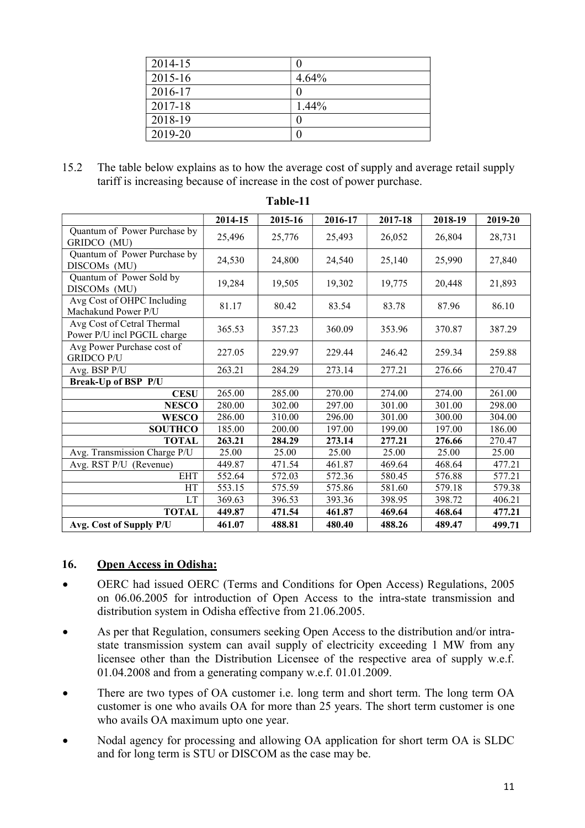| 2014-15 |          |
|---------|----------|
| 2015-16 | 4.64%    |
| 2016-17 |          |
| 2017-18 | $1.44\%$ |
| 2018-19 |          |
| 2019-20 |          |

15.2 The table below explains as to how the average cost of supply and average retail supply tariff is increasing because of increase in the cost of power purchase.

|                                                           | 2014-15 | 2015-16 | 2016-17 | 2017-18 | 2018-19 | 2019-20 |
|-----------------------------------------------------------|---------|---------|---------|---------|---------|---------|
| Quantum of Power Purchase by<br>GRIDCO (MU)               | 25,496  | 25,776  | 25,493  | 26,052  | 26,804  | 28,731  |
| Quantum of Power Purchase by<br>DISCOMs (MU)              | 24,530  | 24,800  | 24,540  | 25,140  | 25,990  | 27,840  |
| Quantum of Power Sold by<br>DISCOMs (MU)                  | 19,284  | 19,505  | 19,302  | 19,775  | 20,448  | 21,893  |
| Avg Cost of OHPC Including<br>Machakund Power P/U         | 81.17   | 80.42   | 83.54   | 83.78   | 87.96   | 86.10   |
| Avg Cost of Cetral Thermal<br>Power P/U incl PGCIL charge | 365.53  | 357.23  | 360.09  | 353.96  | 370.87  | 387.29  |
| Avg Power Purchase cost of<br><b>GRIDCO P/U</b>           | 227.05  | 229.97  | 229.44  | 246.42  | 259.34  | 259.88  |
| Avg. BSP P/U                                              | 263.21  | 284.29  | 273.14  | 277.21  | 276.66  | 270.47  |
| Break-Up of BSP P/U                                       |         |         |         |         |         |         |
| <b>CESU</b>                                               | 265.00  | 285.00  | 270.00  | 274.00  | 274.00  | 261.00  |
| <b>NESCO</b>                                              | 280.00  | 302.00  | 297.00  | 301.00  | 301.00  | 298.00  |
| <b>WESCO</b>                                              | 286.00  | 310.00  | 296.00  | 301.00  | 300.00  | 304.00  |
| <b>SOUTHCO</b>                                            | 185.00  | 200.00  | 197.00  | 199.00  | 197.00  | 186.00  |
| <b>TOTAL</b>                                              | 263.21  | 284.29  | 273.14  | 277.21  | 276.66  | 270.47  |
| Avg. Transmission Charge P/U                              | 25.00   | 25.00   | 25.00   | 25.00   | 25.00   | 25.00   |
| Avg. RST P/U (Revenue)                                    | 449.87  | 471.54  | 461.87  | 469.64  | 468.64  | 477.21  |
| <b>EHT</b>                                                | 552.64  | 572.03  | 572.36  | 580.45  | 576.88  | 577.21  |
| HT                                                        | 553.15  | 575.59  | 575.86  | 581.60  | 579.18  | 579.38  |
| LT                                                        | 369.63  | 396.53  | 393.36  | 398.95  | 398.72  | 406.21  |
| <b>TOTAL</b>                                              | 449.87  | 471.54  | 461.87  | 469.64  | 468.64  | 477.21  |
| Avg. Cost of Supply P/U                                   | 461.07  | 488.81  | 480.40  | 488.26  | 489.47  | 499.71  |

#### **Table-11**

#### **16. Open Access in Odisha:**

- OERC had issued OERC (Terms and Conditions for Open Access) Regulations, 2005 on 06.06.2005 for introduction of Open Access to the intra-state transmission and distribution system in Odisha effective from 21.06.2005.
- As per that Regulation, consumers seeking Open Access to the distribution and/or intrastate transmission system can avail supply of electricity exceeding 1 MW from any licensee other than the Distribution Licensee of the respective area of supply w.e.f. 01.04.2008 and from a generating company w.e.f. 01.01.2009.
- There are two types of OA customer i.e. long term and short term. The long term OA customer is one who avails OA for more than 25 years. The short term customer is one who avails OA maximum upto one year.
- Nodal agency for processing and allowing OA application for short term OA is SLDC and for long term is STU or DISCOM as the case may be.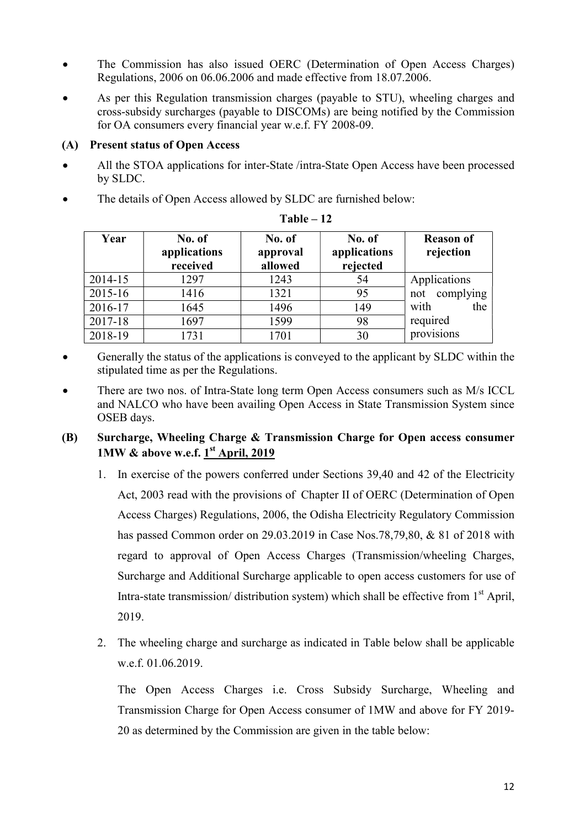- The Commission has also issued OERC (Determination of Open Access Charges) Regulations, 2006 on 06.06.2006 and made effective from 18.07.2006.
- As per this Regulation transmission charges (payable to STU), wheeling charges and cross-subsidy surcharges (payable to DISCOMs) are being notified by the Commission for OA consumers every financial year w.e.f. FY 2008-09.

## **(A) Present status of Open Access**

- All the STOA applications for inter-State /intra-State Open Access have been processed by SLDC.
- The details of Open Access allowed by SLDC are furnished below:

| Year    | No. of<br>applications<br>received | No. of<br>approval<br>allowed | No. of<br>applications<br>rejected | <b>Reason of</b><br>rejection |
|---------|------------------------------------|-------------------------------|------------------------------------|-------------------------------|
| 2014-15 | 1297                               | 1243                          | 54                                 | Applications                  |
| 2015-16 | 1416                               | 1321                          | 95                                 | complying<br>not              |
| 2016-17 | 1645                               | 1496                          | 149                                | with<br>the                   |
| 2017-18 | 1697                               | 1599                          | 98                                 | required                      |
| 2018-19 | 1731                               | 1701                          | 30                                 | provisions                    |

| `able |  |
|-------|--|
|-------|--|

- Generally the status of the applications is conveyed to the applicant by SLDC within the stipulated time as per the Regulations.
- There are two nos. of Intra-State long term Open Access consumers such as M/s ICCL and NALCO who have been availing Open Access in State Transmission System since OSEB days.

## **(B) Surcharge, Wheeling Charge & Transmission Charge for Open access consumer 1MW & above w.e.f. 1**<sup>st</sup> April, 2019

- 1. In exercise of the powers conferred under Sections 39,40 and 42 of the Electricity Act, 2003 read with the provisions of Chapter II of OERC (Determination of Open Access Charges) Regulations, 2006, the Odisha Electricity Regulatory Commission has passed Common order on 29.03.2019 in Case Nos.78,79,80, & 81 of 2018 with regard to approval of Open Access Charges (Transmission/wheeling Charges, Surcharge and Additional Surcharge applicable to open access customers for use of Intra-state transmission/ distribution system) which shall be effective from  $1<sup>st</sup>$  April, 2019.
- 2. The wheeling charge and surcharge as indicated in Table below shall be applicable w.e.f. 01.06.2019.

The Open Access Charges i.e. Cross Subsidy Surcharge, Wheeling and Transmission Charge for Open Access consumer of 1MW and above for FY 2019- 20 as determined by the Commission are given in the table below: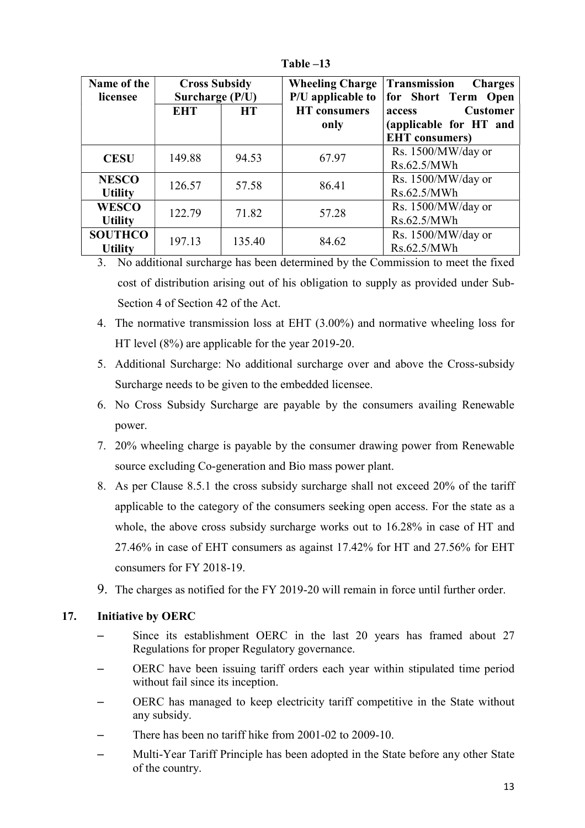| Name of the<br>licensee          | <b>Cross Subsidy</b><br>Surcharge (P/U) |           | <b>Wheeling Charge</b><br>P/U applicable to | Transmission<br><b>Charges</b><br>for Short Term Open |
|----------------------------------|-----------------------------------------|-----------|---------------------------------------------|-------------------------------------------------------|
|                                  | <b>EHT</b>                              | <b>HT</b> | <b>HT</b> consumers                         | <b>Customer</b><br>access                             |
|                                  |                                         |           | only                                        | (applicable for HT and<br><b>EHT</b> consumers)       |
| <b>CESU</b>                      | 149.88                                  | 94.53     | 67.97                                       | Rs. 1500/MW/day or<br>Rs.62.5/MWh                     |
| <b>NESCO</b><br><b>Utility</b>   | 126.57                                  | 57.58     | 86.41                                       | Rs. 1500/MW/day or<br>Rs.62.5/MWh                     |
| <b>WESCO</b><br><b>Utility</b>   | 122.79                                  | 71.82     | 57.28                                       | Rs. 1500/MW/day or<br>Rs.62.5/MWh                     |
| <b>SOUTHCO</b><br><b>Utility</b> | 197.13                                  | 135.40    | 84.62                                       | Rs. 1500/MW/day or<br>Rs.62.5/MWh                     |

**Table –13** 

3. No additional surcharge has been determined by the Commission to meet the fixed cost of distribution arising out of his obligation to supply as provided under Sub-Section 4 of Section 42 of the Act.

- 4. The normative transmission loss at EHT (3.00%) and normative wheeling loss for HT level (8%) are applicable for the year 2019-20.
- 5. Additional Surcharge: No additional surcharge over and above the Cross-subsidy Surcharge needs to be given to the embedded licensee.
- 6. No Cross Subsidy Surcharge are payable by the consumers availing Renewable power.
- 7. 20% wheeling charge is payable by the consumer drawing power from Renewable source excluding Co-generation and Bio mass power plant.
- 8. As per Clause 8.5.1 the cross subsidy surcharge shall not exceed 20% of the tariff applicable to the category of the consumers seeking open access. For the state as a whole, the above cross subsidy surcharge works out to 16.28% in case of HT and 27.46% in case of EHT consumers as against 17.42% for HT and 27.56% for EHT consumers for FY 2018-19.
- 9. The charges as notified for the FY 2019-20 will remain in force until further order.

## **17. Initiative by OERC**

- Since its establishment OERC in the last 20 years has framed about 27 Regulations for proper Regulatory governance.
- OERC have been issuing tariff orders each year within stipulated time period without fail since its inception.
- OERC has managed to keep electricity tariff competitive in the State without any subsidy.
- There has been no tariff hike from 2001-02 to 2009-10.
- Multi-Year Tariff Principle has been adopted in the State before any other State of the country.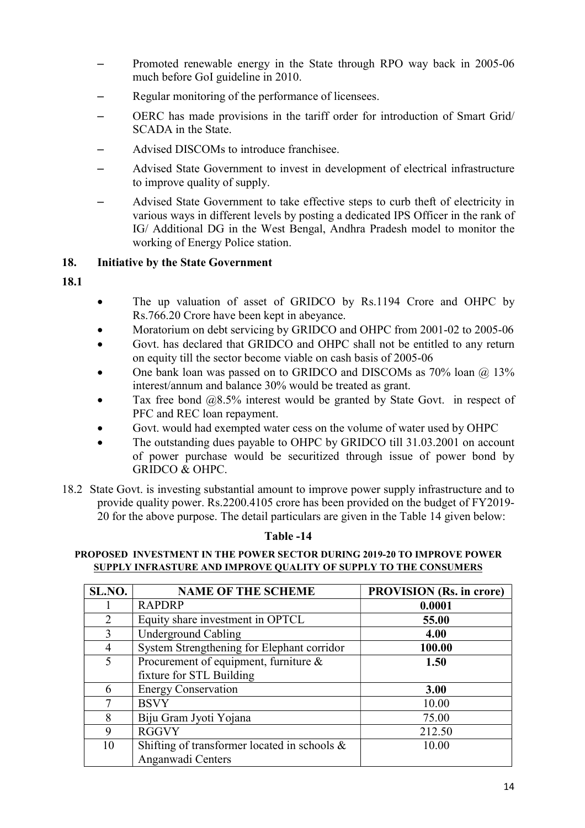- Promoted renewable energy in the State through RPO way back in 2005-06 much before GoI guideline in 2010.
- Regular monitoring of the performance of licensees.
- OERC has made provisions in the tariff order for introduction of Smart Grid/ SCADA in the State.
- Advised DISCOMs to introduce franchisee.
- Advised State Government to invest in development of electrical infrastructure to improve quality of supply.
- Advised State Government to take effective steps to curb theft of electricity in various ways in different levels by posting a dedicated IPS Officer in the rank of IG/ Additional DG in the West Bengal, Andhra Pradesh model to monitor the working of Energy Police station.

## **18. Initiative by the State Government**

**18.1**

- The up valuation of asset of GRIDCO by Rs.1194 Crore and OHPC by Rs.766.20 Crore have been kept in abeyance.
- Moratorium on debt servicing by GRIDCO and OHPC from 2001-02 to 2005-06
- Govt. has declared that GRIDCO and OHPC shall not be entitled to any return on equity till the sector become viable on cash basis of 2005-06
- One bank loan was passed on to GRIDCO and DISCOMs as 70% loan @ 13% interest/annum and balance 30% would be treated as grant.
- Tax free bond @8.5% interest would be granted by State Govt. in respect of PFC and REC loan repayment.
- Govt. would had exempted water cess on the volume of water used by OHPC
- The outstanding dues payable to OHPC by GRIDCO till 31.03.2001 on account of power purchase would be securitized through issue of power bond by GRIDCO & OHPC.
- 18.2 State Govt. is investing substantial amount to improve power supply infrastructure and to provide quality power. Rs.2200.4105 crore has been provided on the budget of FY2019- 20 for the above purpose. The detail particulars are given in the Table 14 given below:

#### **Table -14**

#### **PROPOSED INVESTMENT IN THE POWER SECTOR DURING 2019-20 TO IMPROVE POWER SUPPLY INFRASTURE AND IMPROVE QUALITY OF SUPPLY TO THE CONSUMERS**

| SL.NO.         | <b>NAME OF THE SCHEME</b>                       | <b>PROVISION</b> (Rs. in crore) |
|----------------|-------------------------------------------------|---------------------------------|
|                | <b>RAPDRP</b>                                   | 0.0001                          |
| 2              | Equity share investment in OPTCL                | 55.00                           |
| 3              | <b>Underground Cabling</b>                      | 4.00                            |
| $\overline{4}$ | System Strengthening for Elephant corridor      | 100.00                          |
| 5              | Procurement of equipment, furniture $\&$        | 1.50                            |
|                | fixture for STL Building                        |                                 |
| 6              | <b>Energy Conservation</b>                      | 3.00                            |
| 7              | <b>BSVY</b>                                     | 10.00                           |
| 8              | Biju Gram Jyoti Yojana                          | 75.00                           |
| 9              | <b>RGGVY</b>                                    | 212.50                          |
| 10             | Shifting of transformer located in schools $\&$ | 10.00                           |
|                | Anganwadi Centers                               |                                 |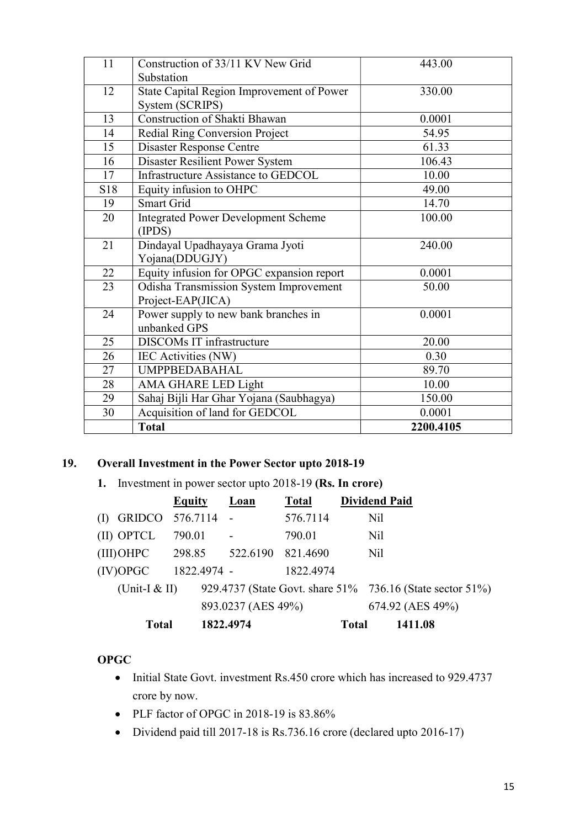| 11  | Construction of 33/11 KV New Grid             | 443.00    |
|-----|-----------------------------------------------|-----------|
|     | Substation                                    |           |
| 12  | State Capital Region Improvement of Power     | 330.00    |
|     | System (SCRIPS)                               |           |
| 13  | Construction of Shakti Bhawan                 | 0.0001    |
| 14  | <b>Redial Ring Conversion Project</b>         | 54.95     |
| 15  | <b>Disaster Response Centre</b>               | 61.33     |
| 16  | Disaster Resilient Power System               | 106.43    |
| 17  | <b>Infrastructure Assistance to GEDCOL</b>    | 10.00     |
| S18 | Equity infusion to OHPC                       | 49.00     |
| 19  | <b>Smart Grid</b>                             | 14.70     |
| 20  | <b>Integrated Power Development Scheme</b>    | 100.00    |
|     | (IPDS)                                        |           |
| 21  | Dindayal Upadhayaya Grama Jyoti               | 240.00    |
|     | Yojana(DDUGJY)                                |           |
| 22  | Equity infusion for OPGC expansion report     | 0.0001    |
| 23  | <b>Odisha Transmission System Improvement</b> | 50.00     |
|     | Project-EAP(JICA)                             |           |
| 24  | Power supply to new bank branches in          | 0.0001    |
|     | unbanked GPS                                  |           |
| 25  | DISCOMs IT infrastructure                     | 20.00     |
| 26  | IEC Activities (NW)                           | 0.30      |
| 27  | <b>UMPPBEDABAHAL</b>                          | 89.70     |
| 28  | <b>AMA GHARE LED Light</b>                    | 10.00     |
| 29  | Sahaj Bijli Har Ghar Yojana (Saubhagya)       | 150.00    |
| 30  | Acquisition of land for GEDCOL                | 0.0001    |
|     | <b>Total</b>                                  | 2200.4105 |

## **19. Overall Investment in the Power Sector upto 2018-19**

 **1.** Investment in power sector upto 2018-19 **(Rs. In crore)**

|                        | <b>Equity</b> | Loan                     | <b>Total</b> |              | <b>Dividend Paid</b>                                      |
|------------------------|---------------|--------------------------|--------------|--------------|-----------------------------------------------------------|
| GRIDCO 576.7114 -<br>( |               |                          | 576.7114     |              | Nil                                                       |
| (II) OPTCL             | 790.01        | $\overline{\phantom{a}}$ | 790.01       |              | Nil                                                       |
| $(III)$ OHPC           | 298.85        | 522.6190                 | 821.4690     |              | N <sub>il</sub>                                           |
| (IV)OPGC               | 1822.4974 -   |                          | 1822.4974    |              |                                                           |
| (Unit-I $&$ II)        |               |                          |              |              | 929.4737 (State Govt. share 51% 736.16 (State sector 51%) |
|                        |               | 893.0237 (AES 49%)       |              |              | 674.92 (AES 49%)                                          |
| Total                  |               | 1822.4974                |              | <b>Total</b> | 1411.08                                                   |

## **OPGC**

- Initial State Govt. investment Rs.450 crore which has increased to 929.4737 crore by now.
- PLF factor of OPGC in 2018-19 is 83.86%
- Dividend paid till 2017-18 is Rs.736.16 crore (declared upto 2016-17)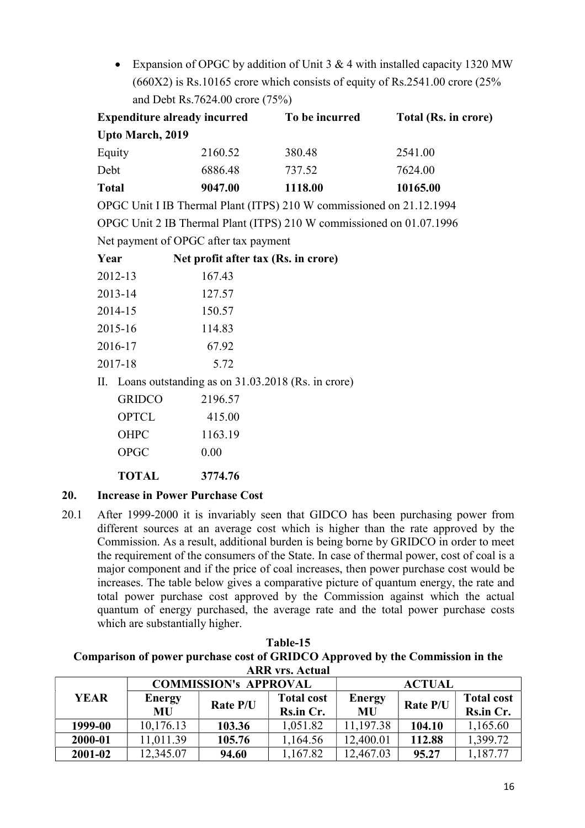Expansion of OPGC by addition of Unit 3 & 4 with installed capacity 1320 MW  $(660X2)$  is Rs.10165 crore which consists of equity of Rs.2541.00 crore  $(25\%$ and Debt Rs.7624.00 crore (75%)

|              |                         | <b>Expenditure already incurred</b>               | To be incurred                                                       | Total (Rs. in crore) |
|--------------|-------------------------|---------------------------------------------------|----------------------------------------------------------------------|----------------------|
|              | <b>Upto March, 2019</b> |                                                   |                                                                      |                      |
| Equity       |                         | 2160.52                                           | 380.48                                                               | 2541.00              |
| Debt         |                         | 6886.48                                           | 737.52                                                               | 7624.00              |
| <b>Total</b> |                         | 9047.00                                           | 1118.00                                                              | 10165.00             |
|              |                         |                                                   | OPGC Unit I IB Thermal Plant (ITPS) 210 W commissioned on 21.12.1994 |                      |
|              |                         |                                                   | OPGC Unit 2 IB Thermal Plant (ITPS) 210 W commissioned on 01.07.1996 |                      |
|              |                         | Net payment of OPGC after tax payment             |                                                                      |                      |
| Year         |                         | Net profit after tax (Rs. in crore)               |                                                                      |                      |
|              | 2012-13                 | 167.43                                            |                                                                      |                      |
|              | 2013-14                 | 127.57                                            |                                                                      |                      |
|              | 2014-15                 | 150.57                                            |                                                                      |                      |
|              | 2015-16                 | 114.83                                            |                                                                      |                      |
|              | 2016-17                 | 67.92                                             |                                                                      |                      |
|              | 2017-18                 | 5.72                                              |                                                                      |                      |
| II.          |                         | Loans outstanding as on 31.03.2018 (Rs. in crore) |                                                                      |                      |
|              | <b>GRIDCO</b>           | 2196.57                                           |                                                                      |                      |
|              | <b>OPTCL</b>            | 415.00                                            |                                                                      |                      |
|              | <b>OHPC</b>             | 1163.19                                           |                                                                      |                      |
|              | <b>OPGC</b>             | 0.00                                              |                                                                      |                      |
|              | <b>TOTAL</b>            | 3774.76                                           |                                                                      |                      |

## **20. Increase in Power Purchase Cost**

20.1 After 1999-2000 it is invariably seen that GIDCO has been purchasing power from different sources at an average cost which is higher than the rate approved by the Commission. As a result, additional burden is being borne by GRIDCO in order to meet the requirement of the consumers of the State. In case of thermal power, cost of coal is a major component and if the price of coal increases, then power purchase cost would be increases. The table below gives a comparative picture of quantum energy, the rate and total power purchase cost approved by the Commission against which the actual quantum of energy purchased, the average rate and the total power purchase costs which are substantially higher.

| Comparison of power purchase cost of GRIDCO Approved by the Commission in the<br><b>ARR vrs. Actual</b> |               |          |                   |               |          |                   |
|---------------------------------------------------------------------------------------------------------|---------------|----------|-------------------|---------------|----------|-------------------|
| <b>COMMISSION's APPROVAL</b><br><b>ACTUAL</b>                                                           |               |          |                   |               |          |                   |
| <b>YEAR</b>                                                                                             | <b>Energy</b> | Rate P/U | <b>Total cost</b> | <b>Energy</b> | Rate P/U | <b>Total cost</b> |
|                                                                                                         | MU            |          | Rs.in Cr.         | <b>MU</b>     |          | Rs.in Cr.         |
| 1999-00                                                                                                 | 10,176.13     | 103.36   | 1,051.82          | 11,197.38     | 104.10   | 1,165.60          |
| 2000-01                                                                                                 | 11,011.39     | 105.76   | 1,164.56          | 12,400.01     | 112.88   | 1,399.72          |
| 2001-02                                                                                                 | 12,345.07     | 94.60    | 1,167.82          | 12,467.03     | 95.27    | 1,187.77          |

| $1$ able-15                                                                   |
|-------------------------------------------------------------------------------|
| Comparison of power purchase cost of GRIDCO Approved by the Commission in the |
| <b>ARR</b> vrs. Actual                                                        |

**Table-15**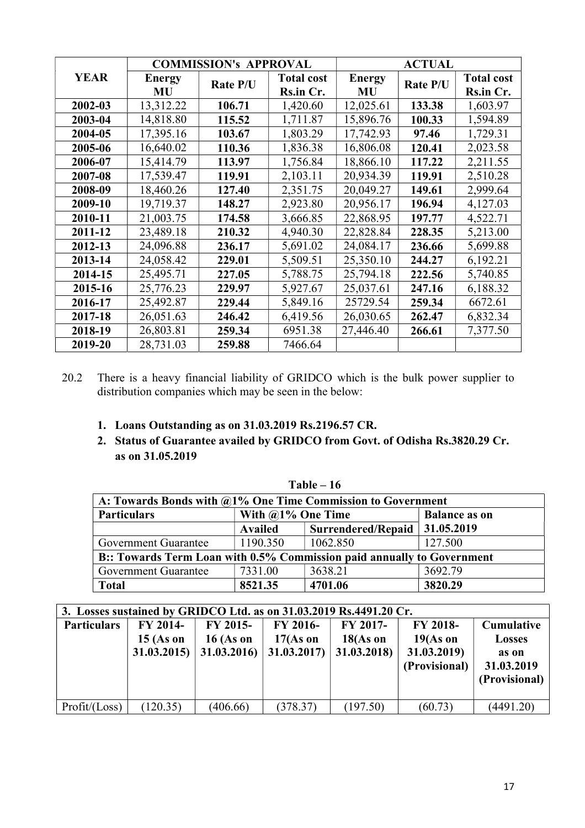|             |                     | <b>COMMISSION's APPROVAL</b> |                                | <b>ACTUAL</b>              |          |                                |
|-------------|---------------------|------------------------------|--------------------------------|----------------------------|----------|--------------------------------|
| <b>YEAR</b> | <b>Energy</b><br>MU | Rate P/U                     | <b>Total cost</b><br>Rs.in Cr. | <b>Energy</b><br><b>MU</b> | Rate P/U | <b>Total cost</b><br>Rs.in Cr. |
| 2002-03     | 13,312.22           | 106.71                       | 1,420.60                       | 12,025.61                  | 133.38   | 1,603.97                       |
| 2003-04     | 14,818.80           | 115.52                       | 1,711.87                       | 15,896.76                  | 100.33   | 1,594.89                       |
| 2004-05     | 17,395.16           | 103.67                       | 1,803.29                       | 17,742.93                  | 97.46    | 1,729.31                       |
| 2005-06     | 16,640.02           | 110.36                       | 1,836.38                       | 16,806.08                  | 120.41   | 2,023.58                       |
| 2006-07     | 15,414.79           | 113.97                       | 1,756.84                       | 18,866.10                  | 117.22   | 2,211.55                       |
| 2007-08     | 17,539.47           | 119.91                       | 2,103.11                       | 20,934.39                  | 119.91   | 2,510.28                       |
| 2008-09     | 18,460.26           | 127.40                       | 2,351.75                       | 20,049.27                  | 149.61   | 2,999.64                       |
| 2009-10     | 19,719.37           | 148.27                       | 2,923.80                       | 20,956.17                  | 196.94   | 4,127.03                       |
| 2010-11     | 21,003.75           | 174.58                       | 3,666.85                       | 22,868.95                  | 197.77   | 4,522.71                       |
| 2011-12     | 23,489.18           | 210.32                       | 4,940.30                       | 22,828.84                  | 228.35   | 5,213.00                       |
| 2012-13     | 24,096.88           | 236.17                       | 5,691.02                       | 24,084.17                  | 236.66   | 5,699.88                       |
| 2013-14     | 24,058.42           | 229.01                       | 5,509.51                       | 25,350.10                  | 244.27   | 6,192.21                       |
| 2014-15     | 25,495.71           | 227.05                       | 5,788.75                       | 25,794.18                  | 222.56   | 5,740.85                       |
| 2015-16     | 25,776.23           | 229.97                       | 5,927.67                       | 25,037.61                  | 247.16   | 6,188.32                       |
| 2016-17     | 25,492.87           | 229.44                       | 5,849.16                       | 25729.54                   | 259.34   | 6672.61                        |
| 2017-18     | 26,051.63           | 246.42                       | 6,419.56                       | 26,030.65                  | 262.47   | 6,832.34                       |
| 2018-19     | 26,803.81           | 259.34                       | 6951.38                        | 27,446.40                  | 266.61   | 7,377.50                       |
| 2019-20     | 28,731.03           | 259.88                       | 7466.64                        |                            |          |                                |

20.2 There is a heavy financial liability of GRIDCO which is the bulk power supplier to distribution companies which may be seen in the below:

## **1. Loans Outstanding as on 31.03.2019 Rs.2196.57 CR.**

**2. Status of Guarantee availed by GRIDCO from Govt. of Odisha Rs.3820.29 Cr. as on 31.05.2019** 

| A: Towards Bonds with @1% One Time Commission to Government            |                      |                           |                      |  |  |
|------------------------------------------------------------------------|----------------------|---------------------------|----------------------|--|--|
| <b>Particulars</b>                                                     | With $@1\%$ One Time |                           | <b>Balance as on</b> |  |  |
|                                                                        | <b>Availed</b>       | <b>Surrendered/Repaid</b> | 31.05.2019           |  |  |
| Government Guarantee                                                   | 1190.350             | 1062.850                  | 127.500              |  |  |
| B:: Towards Term Loan with 0.5% Commission paid annually to Government |                      |                           |                      |  |  |
| <b>Government Guarantee</b>                                            | 7331.00              | 3638.21                   | 3692.79              |  |  |
| <b>Total</b>                                                           | 8521.35              | 4701.06                   | 3820.29              |  |  |

| 3. Losses sustained by GRIDCO Ltd. as on 31.03.2019 Rs.4491.20 Cr. |                                              |                                        |                                       |                                        |                                                        |                                                                            |
|--------------------------------------------------------------------|----------------------------------------------|----------------------------------------|---------------------------------------|----------------------------------------|--------------------------------------------------------|----------------------------------------------------------------------------|
| <b>Particulars</b>                                                 | <b>FY 2014-</b><br>$15$ (As on<br>31.03.2015 | FY 2015-<br>$16$ (As on<br>31.03.2016) | FY 2016-<br>$17(As)$ on<br>31.03.2017 | FY 2017-<br>$18(As)$ on<br>31.03.2018) | FY 2018-<br>$19(As)$ on<br>31.03.2019<br>(Provisional) | <b>Cumulative</b><br><b>Losses</b><br>as on<br>31.03.2019<br>(Provisional) |
| Profit / (Loss)                                                    | (120.35)                                     | (406.66)                               | (378.37)                              | (197.50)                               | (60.73)                                                | (4491.20)                                                                  |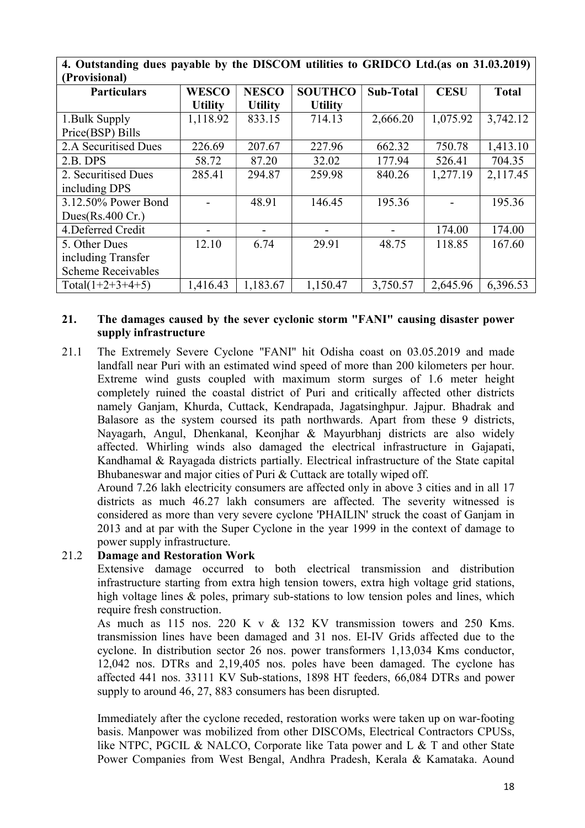| (Provisional)             |                |                |                |                  |             |              |
|---------------------------|----------------|----------------|----------------|------------------|-------------|--------------|
| <b>Particulars</b>        | <b>WESCO</b>   | <b>NESCO</b>   | <b>SOUTHCO</b> | <b>Sub-Total</b> | <b>CESU</b> | <b>Total</b> |
|                           | <b>Utility</b> | <b>Utility</b> | <b>Utility</b> |                  |             |              |
| 1. Bulk Supply            | 1,118.92       | 833.15         | 714.13         | 2,666.20         | 1,075.92    | 3,742.12     |
| Price(BSP) Bills          |                |                |                |                  |             |              |
| 2.A Securitised Dues      | 226.69         | 207.67         | 227.96         | 662.32           | 750.78      | 1,413.10     |
| $2.B.$ DPS                | 58.72          | 87.20          | 32.02          | 177.94           | 526.41      | 704.35       |
| 2. Securitised Dues       | 285.41         | 294.87         | 259.98         | 840.26           | 1,277.19    | 2,117.45     |
| including DPS             |                |                |                |                  |             |              |
| 3.12.50% Power Bond       |                | 48.91          | 146.45         | 195.36           |             | 195.36       |
| Dues $(Rs.400 Cr.)$       |                |                |                |                  |             |              |
| 4. Deferred Credit        |                |                |                |                  | 174.00      | 174.00       |
| 5. Other Dues             | 12.10          | 6.74           | 29.91          | 48.75            | 118.85      | 167.60       |
| including Transfer        |                |                |                |                  |             |              |
| <b>Scheme Receivables</b> |                |                |                |                  |             |              |
| Total( $1+2+3+4+5$ )      | 1,416.43       | 1,183.67       | 1,150.47       | 3,750.57         | 2,645.96    | 6,396.53     |

**4. Outstanding dues payable by the DISCOM utilities to GRIDCO Ltd.(as on 31.03.2019)** 

## **21. The damages caused by the sever cyclonic storm "FANI" causing disaster power supply infrastructure**

21.1 The Extremely Severe Cyclone "FANI" hit Odisha coast on 03.05.2019 and made landfall near Puri with an estimated wind speed of more than 200 kilometers per hour. Extreme wind gusts coupled with maximum storm surges of 1.6 meter height completely ruined the coastal district of Puri and critically affected other districts namely Ganjam, Khurda, Cuttack, Kendrapada, Jagatsinghpur. Jajpur. Bhadrak and Balasore as the system coursed its path northwards. Apart from these 9 districts, Nayagarh, Angul, Dhenkanal, Keonjhar & Mayurbhanj districts are also widely affected. Whirling winds also damaged the electrical infrastructure in Gajapati, Kandhamal & Rayagada districts partially. Electrical infrastructure of the State capital Bhubaneswar and major cities of Puri & Cuttack are totally wiped off.

 Around 7.26 lakh electricity consumers are affected only in above 3 cities and in all 17 districts as much 46.27 lakh consumers are affected. The severity witnessed is considered as more than very severe cyclone 'PHAILIN' struck the coast of Ganjam in 2013 and at par with the Super Cyclone in the year 1999 in the context of damage to power supply infrastructure.

## 21.2 **Damage and Restoration Work**

 Extensive damage occurred to both electrical transmission and distribution infrastructure starting from extra high tension towers, extra high voltage grid stations, high voltage lines & poles, primary sub-stations to low tension poles and lines, which require fresh construction.

As much as 115 nos. 220 K v & 132 KV transmission towers and 250 Kms. transmission lines have been damaged and 31 nos. EI-IV Grids affected due to the cyclone. In distribution sector 26 nos. power transformers 1,13,034 Kms conductor, 12,042 nos. DTRs and 2,19,405 nos. poles have been damaged. The cyclone has affected 441 nos. 33111 KV Sub-stations, 1898 HT feeders, 66,084 DTRs and power supply to around 46, 27, 883 consumers has been disrupted.

Immediately after the cyclone receded, restoration works were taken up on war-footing basis. Manpower was mobilized from other DISCOMs, Electrical Contractors CPUSs, like NTPC, PGCIL & NALCO, Corporate like Tata power and L & T and other State Power Companies from West Bengal, Andhra Pradesh, Kerala & Kamataka. Aound